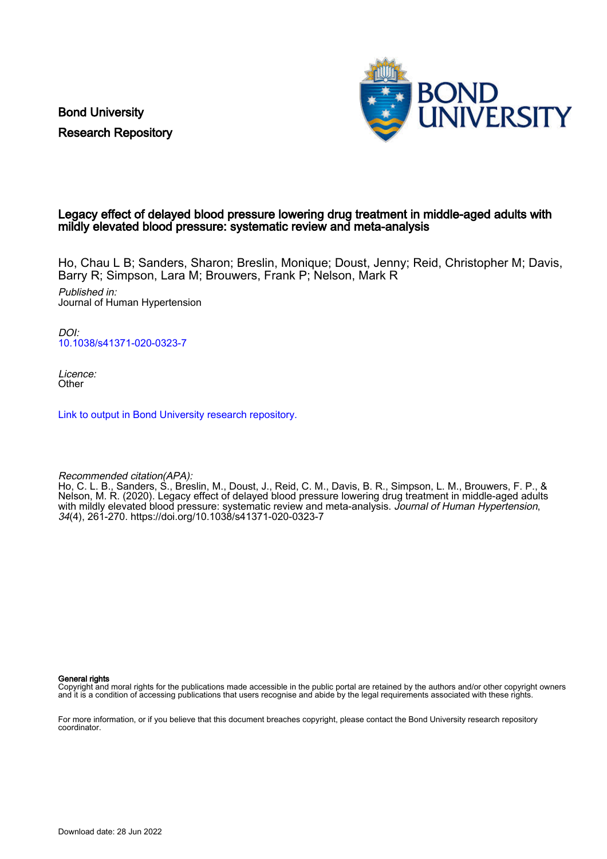Bond University Research Repository



### Legacy effect of delayed blood pressure lowering drug treatment in middle-aged adults with mildly elevated blood pressure: systematic review and meta-analysis

Ho, Chau L B; Sanders, Sharon; Breslin, Monique; Doust, Jenny; Reid, Christopher M; Davis, Barry R; Simpson, Lara M; Brouwers, Frank P; Nelson, Mark R

Published in: Journal of Human Hypertension

DOI: [10.1038/s41371-020-0323-7](https://doi.org/10.1038/s41371-020-0323-7)

Licence: **Other** 

[Link to output in Bond University research repository.](https://research.bond.edu.au/en/publications/d3f2f73c-37c3-45a6-85bb-bcf8c9bed668)

Recommended citation(APA):

Ho, C. L. B., Sanders, S., Breslin, M., Doust, J., Reid, C. M., Davis, B. R., Simpson, L. M., Brouwers, F. P., & Nelson, M. R. (2020). Legacy effect of delayed blood pressure lowering drug treatment in middle-aged adults with mildly elevated blood pressure: systematic review and meta-analysis. Journal of Human Hypertension, 34(4), 261-270.<https://doi.org/10.1038/s41371-020-0323-7>

General rights

Copyright and moral rights for the publications made accessible in the public portal are retained by the authors and/or other copyright owners and it is a condition of accessing publications that users recognise and abide by the legal requirements associated with these rights.

For more information, or if you believe that this document breaches copyright, please contact the Bond University research repository coordinator.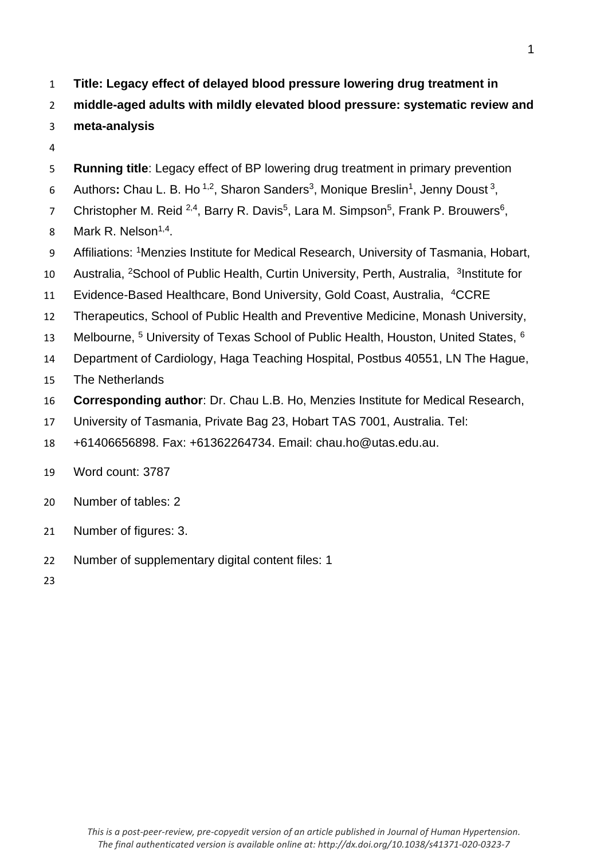**Title: Legacy effect of delayed blood pressure lowering drug treatment in** 

**middle-aged adults with mildly elevated blood pressure: systematic review and** 

- **meta-analysis**
- 
- **Running title**: Legacy effect of BP lowering drug treatment in primary prevention
- 6 Authors: Chau L. B. Ho<sup>1,2</sup>, Sharon Sanders<sup>3</sup>, Monique Breslin<sup>1</sup>, Jenny Doust<sup>3</sup>,
- 7 Christopher M. Reid <sup>2,4</sup>, Barry R. Davis<sup>5</sup>, Lara M. Simpson<sup>5</sup>, Frank P. Brouwers<sup>6</sup>,
- 8 Mark R. Nelson<sup> $1,4$ </sup>.
- 9 Affiliations: <sup>1</sup>Menzies Institute for Medical Research, University of Tasmania, Hobart,
- 10 Australia, <sup>2</sup>School of Public Health, Curtin University, Perth, Australia, <sup>3</sup> Institute for
- 11 Evidence-Based Healthcare, Bond University, Gold Coast, Australia, <sup>4</sup>CCRE
- Therapeutics, School of Public Health and Preventive Medicine, Monash University,
- 13 Melbourne, <sup>5</sup> University of Texas School of Public Health, Houston, United States, <sup>6</sup>
- Department of Cardiology, Haga Teaching Hospital, Postbus 40551, LN The Hague,
- The Netherlands
- **Corresponding author**: Dr. Chau L.B. Ho, Menzies Institute for Medical Research,
- University of Tasmania, Private Bag 23, Hobart TAS 7001, Australia. Tel:
- +61406656898. Fax: +61362264734. Email: chau.ho@utas.edu.au.
- Word count: 3787
- Number of tables: 2
- Number of figures: 3.
- Number of supplementary digital content files: 1
-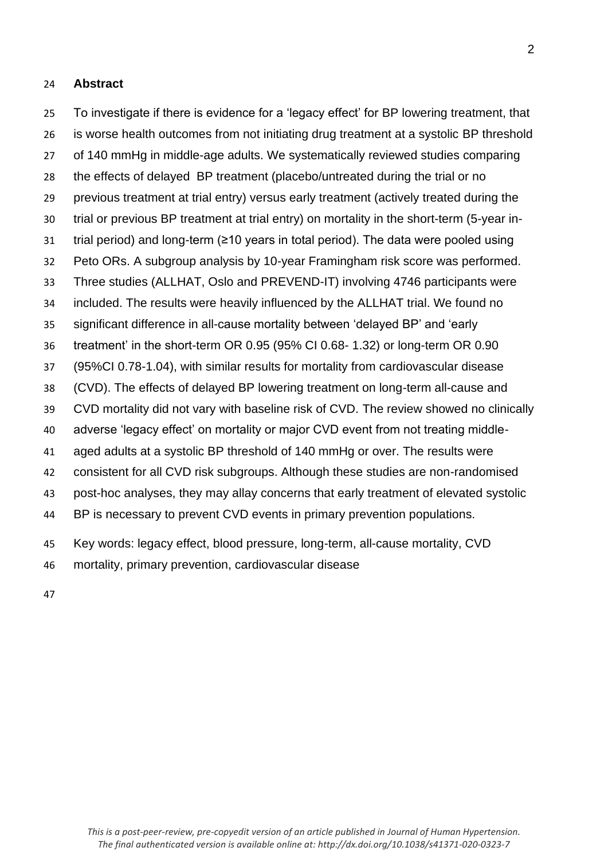### **Abstract**

 To investigate if there is evidence for a 'legacy effect' for BP lowering treatment, that is worse health outcomes from not initiating drug treatment at a systolic BP threshold of 140 mmHg in middle-age adults. We systematically reviewed studies comparing the effects of delayed BP treatment (placebo/untreated during the trial or no previous treatment at trial entry) versus early treatment (actively treated during the trial or previous BP treatment at trial entry) on mortality in the short-term (5-year in- trial period) and long-term (≥10 years in total period). The data were pooled using Peto ORs. A subgroup analysis by 10-year Framingham risk score was performed. Three studies (ALLHAT, Oslo and PREVEND-IT) involving 4746 participants were included. The results were heavily influenced by the ALLHAT trial. We found no significant difference in all-cause mortality between 'delayed BP' and 'early treatment' in the short-term OR 0.95 (95% CI 0.68- 1.32) or long-term OR 0.90 (95%CI 0.78-1.04), with similar results for mortality from cardiovascular disease (CVD). The effects of delayed BP lowering treatment on long-term all-cause and CVD mortality did not vary with baseline risk of CVD. The review showed no clinically adverse 'legacy effect' on mortality or major CVD event from not treating middle- aged adults at a systolic BP threshold of 140 mmHg or over. The results were consistent for all CVD risk subgroups. Although these studies are non-randomised post-hoc analyses, they may allay concerns that early treatment of elevated systolic BP is necessary to prevent CVD events in primary prevention populations. Key words: legacy effect, blood pressure, long-term, all-cause mortality, CVD

mortality, primary prevention, cardiovascular disease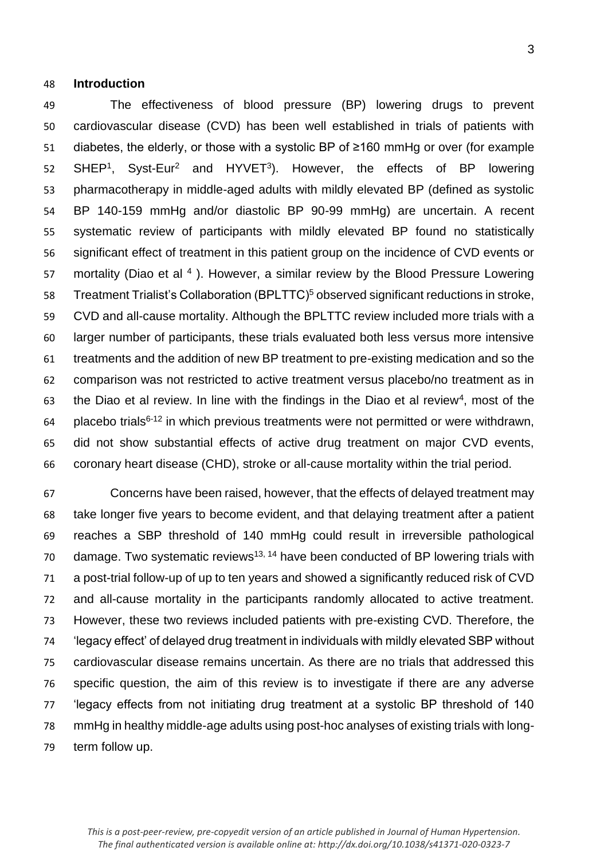#### **Introduction**

 The effectiveness of blood pressure (BP) lowering drugs to prevent cardiovascular disease (CVD) has been well established in trials of patients with diabetes, the elderly, or those with a systolic BP of ≥160 mmHg or over (for example 52 SHEP<sup>1</sup>, Syst-Eur<sup>2</sup> and HYVET<sup>3</sup>). However, the effects of BP lowering pharmacotherapy in middle-aged adults with mildly elevated BP (defined as systolic BP 140-159 mmHg and/or diastolic BP 90-99 mmHg) are uncertain. A recent systematic review of participants with mildly elevated BP found no statistically significant effect of treatment in this patient group on the incidence of CVD events or 57 mortality (Diao et al ). However, a similar review by the Blood Pressure Lowering 58 Treatment Trialist's Collaboration (BPLTTC)<sup>5</sup> observed significant reductions in stroke, CVD and all-cause mortality. Although the BPLTTC review included more trials with a larger number of participants, these trials evaluated both less versus more intensive treatments and the addition of new BP treatment to pre-existing medication and so the comparison was not restricted to active treatment versus placebo/no treatment as in 63 the Diao et al review. In line with the findings in the Diao et al review<sup>4</sup>, most of the placebo trials<sup>6-12</sup> in which previous treatments were not permitted or were withdrawn, did not show substantial effects of active drug treatment on major CVD events, coronary heart disease (CHD), stroke or all-cause mortality within the trial period.

 Concerns have been raised, however, that the effects of delayed treatment may take longer five years to become evident, and that delaying treatment after a patient reaches a SBP threshold of 140 mmHg could result in irreversible pathological damage. Two systematic reviews<sup>13, 14</sup> have been conducted of BP lowering trials with a post-trial follow-up of up to ten years and showed a significantly reduced risk of CVD and all-cause mortality in the participants randomly allocated to active treatment. However, these two reviews included patients with pre-existing CVD. Therefore, the 'legacy effect' of delayed drug treatment in individuals with mildly elevated SBP without cardiovascular disease remains uncertain. As there are no trials that addressed this specific question, the aim of this review is to investigate if there are any adverse 'legacy effects from not initiating drug treatment at a systolic BP threshold of 140 mmHg in healthy middle-age adults using post-hoc analyses of existing trials with long-term follow up.

*This is a post-peer-review, pre-copyedit version of an article published in Journal of Human Hypertension. The final authenticated version is available online at: http://dx.doi.org/10.1038/s41371-020-0323-7*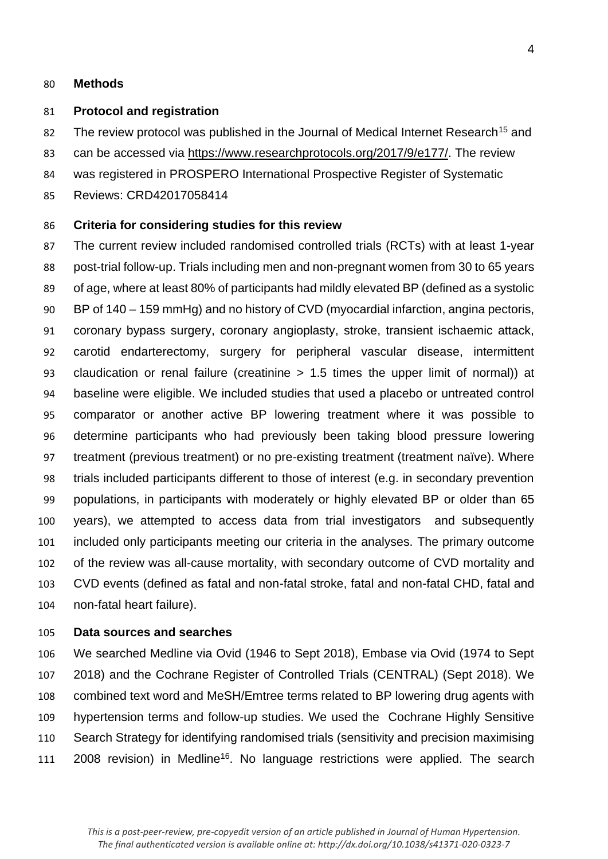### **Methods**

#### **Protocol and registration**

- 82 The review protocol was published in the Journal of Medical Internet Research<sup>15</sup> and
- can be accessed via [https://www.researchprotocols.org/2017/9/e177/.](https://www.researchprotocols.org/2017/9/e177/) The review
- was registered in PROSPERO International Prospective Register of Systematic
- Reviews: CRD42017058414

### **Criteria for considering studies for this review**

 The current review included randomised controlled trials (RCTs) with at least 1-year post-trial follow-up. Trials including men and non-pregnant women from 30 to 65 years of age, where at least 80% of participants had mildly elevated BP (defined as a systolic BP of 140 – 159 mmHg) and no history of CVD (myocardial infarction, angina pectoris, coronary bypass surgery, coronary angioplasty, stroke, transient ischaemic attack, carotid endarterectomy, surgery for peripheral vascular disease, intermittent claudication or renal failure (creatinine > 1.5 times the upper limit of normal)) at baseline were eligible. We included studies that used a placebo or untreated control comparator or another active BP lowering treatment where it was possible to determine participants who had previously been taking blood pressure lowering treatment (previous treatment) or no pre-existing treatment (treatment naïve). Where trials included participants different to those of interest (e.g. in secondary prevention populations, in participants with moderately or highly elevated BP or older than 65 years), we attempted to access data from trial investigators and subsequently included only participants meeting our criteria in the analyses. The primary outcome of the review was all-cause mortality, with secondary outcome of CVD mortality and CVD events (defined as fatal and non-fatal stroke, fatal and non-fatal CHD, fatal and non-fatal heart failure).

### **Data sources and searches**

 We searched Medline via Ovid (1946 to Sept 2018), Embase via Ovid (1974 to Sept 2018) and the Cochrane Register of Controlled Trials (CENTRAL) (Sept 2018). We combined text word and MeSH/Emtree terms related to BP lowering drug agents with hypertension terms and follow-up studies. We used the Cochrane Highly Sensitive Search Strategy for identifying randomised trials (sensitivity and precision maximising  $\,$  2008 revision) in Medline<sup>16</sup>. No language restrictions were applied. The search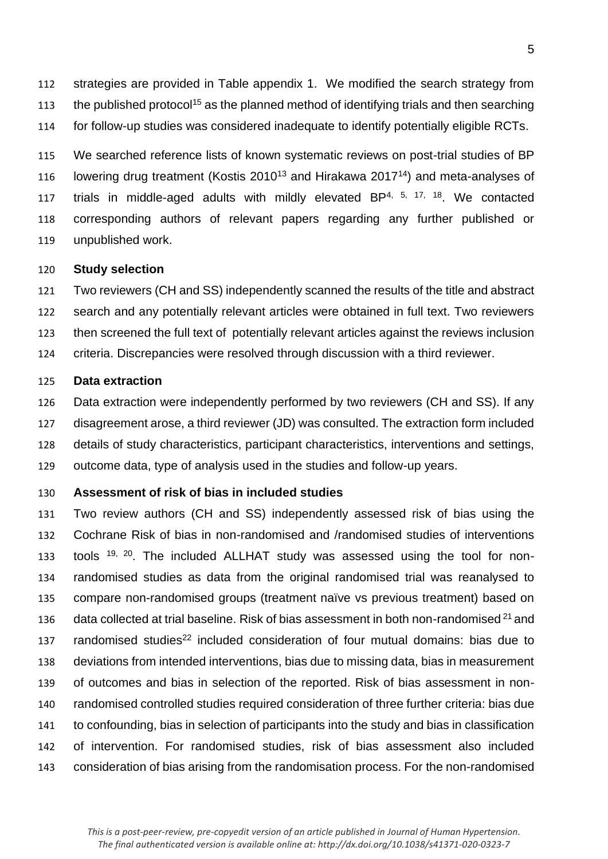strategies are provided in Table appendix 1. We modified the search strategy from the published protocol<sup>15</sup> as the planned method of identifying trials and then searching for follow-up studies was considered inadequate to identify potentially eligible RCTs.

 We searched reference lists of known systematic reviews on post-trial studies of BP 116 Iowering drug treatment (Kostis 2010<sup>13</sup> and Hirakawa 2017<sup>14</sup>) and meta-analyses of 117 trials in middle-aged adults with mildly elevated BP $4, 5, 17, 18$ . We contacted corresponding authors of relevant papers regarding any further published or unpublished work.

#### **Study selection**

 Two reviewers (CH and SS) independently scanned the results of the title and abstract search and any potentially relevant articles were obtained in full text. Two reviewers then screened the full text of potentially relevant articles against the reviews inclusion criteria. Discrepancies were resolved through discussion with a third reviewer.

#### **Data extraction**

 Data extraction were independently performed by two reviewers (CH and SS). If any disagreement arose, a third reviewer (JD) was consulted. The extraction form included details of study characteristics, participant characteristics, interventions and settings, outcome data, type of analysis used in the studies and follow-up years.

### **Assessment of risk of bias in included studies**

 Two review authors (CH and SS) independently assessed risk of bias using the Cochrane Risk of bias in non-randomised and /randomised studies of interventions 133 tools  $19, 20$ . The included ALLHAT study was assessed using the tool for non- randomised studies as data from the original randomised trial was reanalysed to compare non-randomised groups (treatment naïve vs previous treatment) based on 136 data collected at trial baseline. Risk of bias assessment in both non-randomised and 137 randomised studies<sup>22</sup> included consideration of four mutual domains: bias due to deviations from intended interventions, bias due to missing data, bias in measurement of outcomes and bias in selection of the reported. Risk of bias assessment in non- randomised controlled studies required consideration of three further criteria: bias due to confounding, bias in selection of participants into the study and bias in classification of intervention. For randomised studies, risk of bias assessment also included consideration of bias arising from the randomisation process. For the non-randomised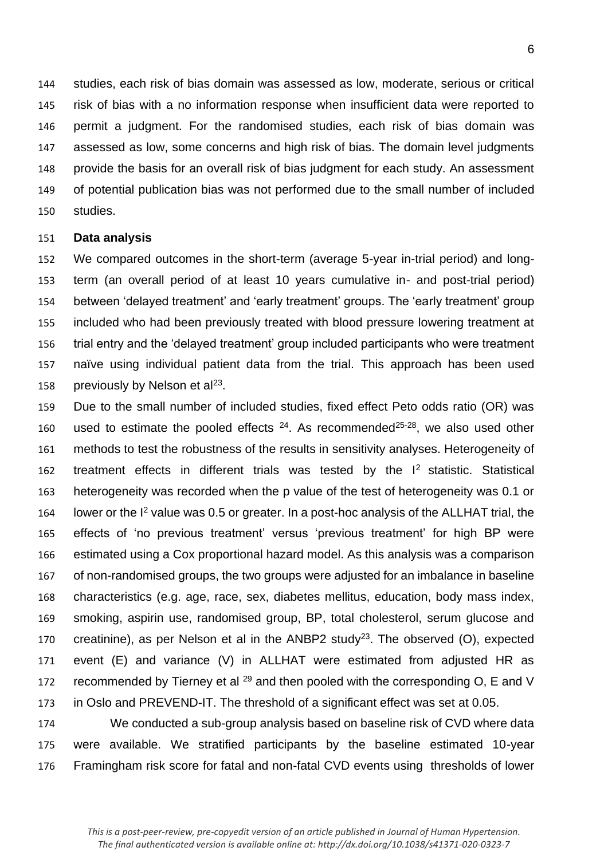studies, each risk of bias domain was assessed as low, moderate, serious or critical risk of bias with a no information response when insufficient data were reported to permit a judgment. For the randomised studies, each risk of bias domain was assessed as low, some concerns and high risk of bias. The domain level judgments provide the basis for an overall risk of bias judgment for each study. An assessment of potential publication bias was not performed due to the small number of included studies.

#### **Data analysis**

 We compared outcomes in the short-term (average 5-year in-trial period) and long- term (an overall period of at least 10 years cumulative in- and post-trial period) between 'delayed treatment' and 'early treatment' groups. The 'early treatment' group included who had been previously treated with blood pressure lowering treatment at trial entry and the 'delayed treatment' group included participants who were treatment naïve using individual patient data from the trial. This approach has been used 158 breviously by Nelson et al<sup>23</sup>.

 Due to the small number of included studies, fixed effect Peto odds ratio (OR) was 160 used to estimate the pooled effects . As recommended  $25-28$ , we also used other methods to test the robustness of the results in sensitivity analyses. Heterogeneity of 162 treatment effects in different trials was tested by the  $I<sup>2</sup>$  statistic. Statistical heterogeneity was recorded when the p value of the test of heterogeneity was 0.1 or 164 lower or the  $I^2$  value was 0.5 or greater. In a post-hoc analysis of the ALLHAT trial, the effects of 'no previous treatment' versus 'previous treatment' for high BP were estimated using a Cox proportional hazard model. As this analysis was a comparison of non-randomised groups, the two groups were adjusted for an imbalance in baseline characteristics (e.g. age, race, sex, diabetes mellitus, education, body mass index, smoking, aspirin use, randomised group, BP, total cholesterol, serum glucose and 170 creatinine), as per Nelson et al in the ANBP2 study<sup>23</sup>. The observed  $(O)$ , expected event (E) and variance (V) in ALLHAT were estimated from adjusted HR as 172 recommended by Tierney et al  $^{29}$  and then pooled with the corresponding O, E and V in Oslo and PREVEND-IT. The threshold of a significant effect was set at 0.05.

 We conducted a sub-group analysis based on baseline risk of CVD where data were available. We stratified participants by the baseline estimated 10-year Framingham risk score for fatal and non-fatal CVD events using thresholds of lower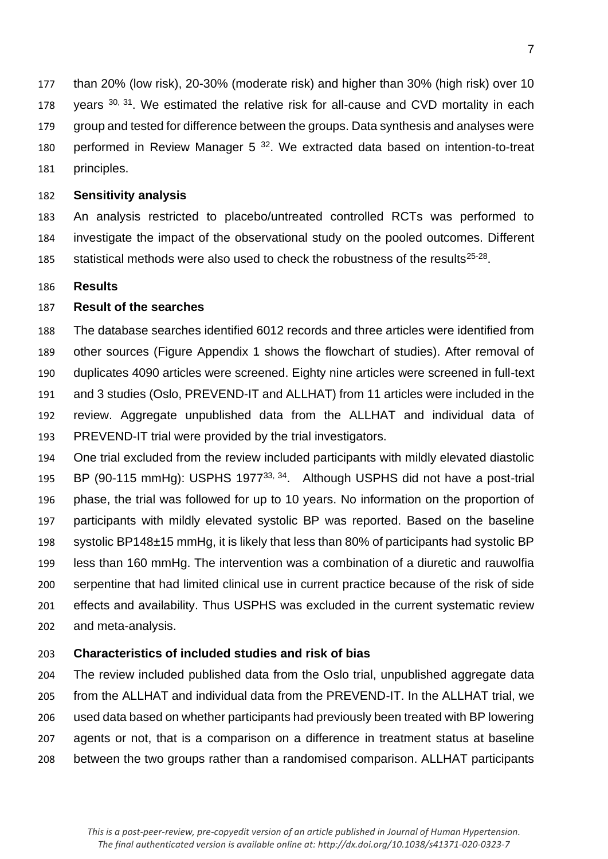than 20% (low risk), 20-30% (moderate risk) and higher than 30% (high risk) over 10 178 years  $30, 31$ . We estimated the relative risk for all-cause and CVD mortality in each group and tested for difference between the groups. Data synthesis and analyses were 180 performed in Review Manager  $5^{32}$ . We extracted data based on intention-to-treat principles.

### **Sensitivity analysis**

 An analysis restricted to placebo/untreated controlled RCTs was performed to investigate the impact of the observational study on the pooled outcomes. Different 185 statistical methods were also used to check the robustness of the results $25-28$ .

### **Results**

## **Result of the searches**

 The database searches identified 6012 records and three articles were identified from other sources (Figure Appendix 1 shows the flowchart of studies). After removal of duplicates 4090 articles were screened. Eighty nine articles were screened in full-text and 3 studies (Oslo, PREVEND-IT and ALLHAT) from 11 articles were included in the review. Aggregate unpublished data from the ALLHAT and individual data of PREVEND-IT trial were provided by the trial investigators.

 One trial excluded from the review included participants with mildly elevated diastolic 195 BP (90-115 mmHg): USPHS 1977<sup>33, 34</sup>. Although USPHS did not have a post-trial phase, the trial was followed for up to 10 years. No information on the proportion of participants with mildly elevated systolic BP was reported. Based on the baseline systolic BP148±15 mmHg, it is likely that less than 80% of participants had systolic BP less than 160 mmHg. The intervention was a combination of a diuretic and rauwolfia serpentine that had limited clinical use in current practice because of the risk of side effects and availability. Thus USPHS was excluded in the current systematic review and meta-analysis.

### **Characteristics of included studies and risk of bias**

 The review included published data from the Oslo trial, unpublished aggregate data from the ALLHAT and individual data from the PREVEND-IT. In the ALLHAT trial, we used data based on whether participants had previously been treated with BP lowering agents or not, that is a comparison on a difference in treatment status at baseline between the two groups rather than a randomised comparison. ALLHAT participants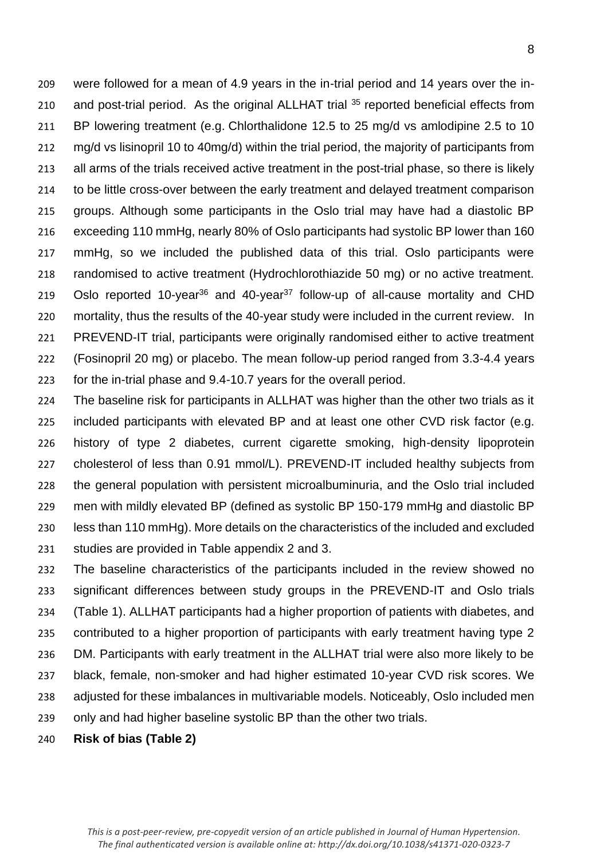were followed for a mean of 4.9 years in the in-trial period and 14 years over the in-210 and post-trial period. As the original ALLHAT trial reported beneficial effects from BP lowering treatment (e.g. Chlorthalidone 12.5 to 25 mg/d vs amlodipine 2.5 to 10 212 mg/d vs lisinopril 10 to 40mg/d) within the trial period, the majority of participants from all arms of the trials received active treatment in the post-trial phase, so there is likely to be little cross-over between the early treatment and delayed treatment comparison groups. Although some participants in the Oslo trial may have had a diastolic BP exceeding 110 mmHg, nearly 80% of Oslo participants had systolic BP lower than 160 mmHg, so we included the published data of this trial. Oslo participants were randomised to active treatment (Hydrochlorothiazide 50 mg) or no active treatment. 219 Oslo reported 10-year<sup>36</sup> and 40-year<sup>37</sup> follow-up of all-cause mortality and CHD mortality, thus the results of the 40-year study were included in the current review. In PREVEND-IT trial, participants were originally randomised either to active treatment (Fosinopril 20 mg) or placebo. The mean follow-up period ranged from 3.3-4.4 years for the in-trial phase and 9.4-10.7 years for the overall period.

 The baseline risk for participants in ALLHAT was higher than the other two trials as it included participants with elevated BP and at least one other CVD risk factor (e.g. history of type 2 diabetes, current cigarette smoking, high-density lipoprotein cholesterol of less than 0.91 mmol/L). PREVEND-IT included healthy subjects from the general population with persistent microalbuminuria, and the Oslo trial included men with mildly elevated BP (defined as systolic BP 150-179 mmHg and diastolic BP less than 110 mmHg). More details on the characteristics of the included and excluded studies are provided in Table appendix 2 and 3.

 The baseline characteristics of the participants included in the review showed no significant differences between study groups in the PREVEND-IT and Oslo trials (Table 1). ALLHAT participants had a higher proportion of patients with diabetes, and contributed to a higher proportion of participants with early treatment having type 2 DM. Participants with early treatment in the ALLHAT trial were also more likely to be black, female, non-smoker and had higher estimated 10-year CVD risk scores. We adjusted for these imbalances in multivariable models. Noticeably, Oslo included men only and had higher baseline systolic BP than the other two trials.

**Risk of bias (Table 2)**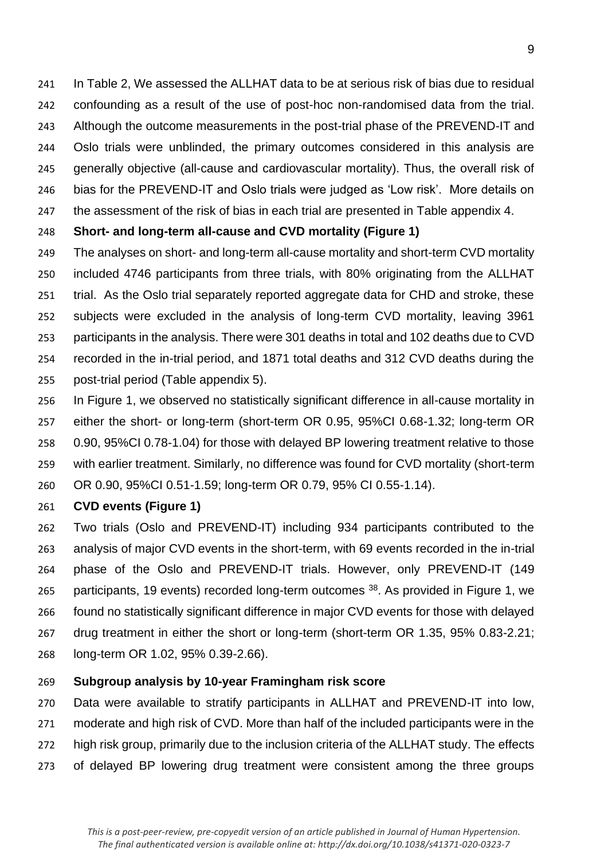In Table 2, We assessed the ALLHAT data to be at serious risk of bias due to residual confounding as a result of the use of post-hoc non-randomised data from the trial. Although the outcome measurements in the post-trial phase of the PREVEND-IT and Oslo trials were unblinded, the primary outcomes considered in this analysis are generally objective (all-cause and cardiovascular mortality). Thus, the overall risk of bias for the PREVEND-IT and Oslo trials were judged as 'Low risk'. More details on the assessment of the risk of bias in each trial are presented in Table appendix 4.

## **Short- and long-term all-cause and CVD mortality (Figure 1)**

- The analyses on short- and long-term all-cause mortality and short-term CVD mortality included 4746 participants from three trials, with 80% originating from the ALLHAT trial. As the Oslo trial separately reported aggregate data for CHD and stroke, these subjects were excluded in the analysis of long-term CVD mortality, leaving 3961 participants in the analysis. There were 301 deaths in total and 102 deaths due to CVD recorded in the in-trial period, and 1871 total deaths and 312 CVD deaths during the post-trial period (Table appendix 5).
- In Figure 1, we observed no statistically significant difference in all-cause mortality in either the short- or long-term (short-term OR 0.95, 95%CI 0.68-1.32; long-term OR 0.90, 95%CI 0.78-1.04) for those with delayed BP lowering treatment relative to those with earlier treatment. Similarly, no difference was found for CVD mortality (short-term OR 0.90, 95%CI 0.51-1.59; long-term OR 0.79, 95% CI 0.55-1.14).

# **CVD events (Figure 1)**

 Two trials (Oslo and PREVEND-IT) including 934 participants contributed to the analysis of major CVD events in the short-term, with 69 events recorded in the in-trial phase of the Oslo and PREVEND-IT trials. However, only PREVEND-IT (149 265 participants, 19 events) recorded long-term outcomes . As provided in Figure 1, we found no statistically significant difference in major CVD events for those with delayed drug treatment in either the short or long-term (short-term OR 1.35, 95% 0.83-2.21; long-term OR 1.02, 95% 0.39-2.66).

# **Subgroup analysis by 10-year Framingham risk score**

 Data were available to stratify participants in ALLHAT and PREVEND-IT into low, moderate and high risk of CVD. More than half of the included participants were in the high risk group, primarily due to the inclusion criteria of the ALLHAT study. The effects of delayed BP lowering drug treatment were consistent among the three groups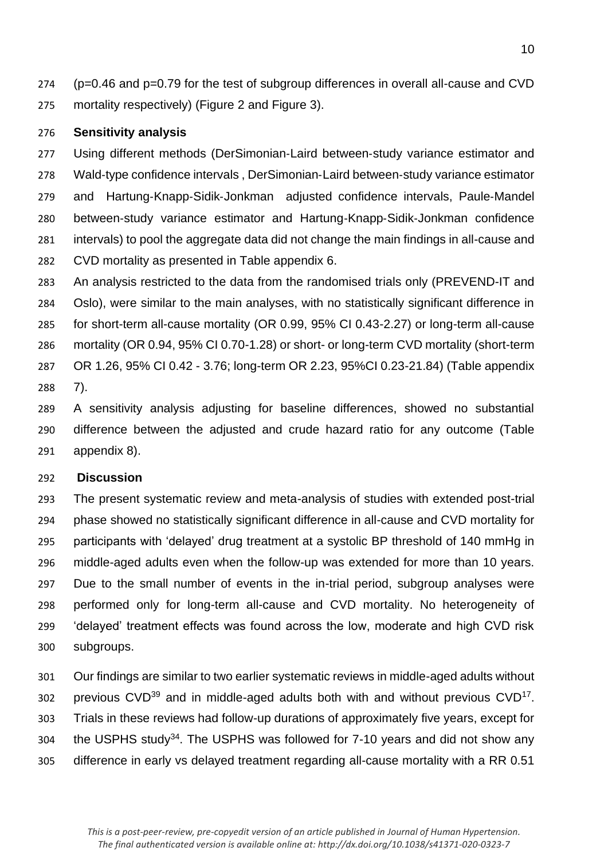(p=0.46 and p=0.79 for the test of subgroup differences in overall all-cause and CVD mortality respectively) (Figure 2 and Figure 3).

### **Sensitivity analysis**

 Using different methods (DerSimonian‐Laird between‐study variance estimator and Wald‐type confidence intervals , DerSimonian‐Laird between‐study variance estimator and Hartung‐Knapp‐Sidik‐Jonkman adjusted confidence intervals, Paule‐Mandel between‐study variance estimator and Hartung‐Knapp‐Sidik‐Jonkman confidence intervals) to pool the aggregate data did not change the main findings in all-cause and CVD mortality as presented in Table appendix 6.

- An analysis restricted to the data from the randomised trials only (PREVEND-IT and Oslo), were similar to the main analyses, with no statistically significant difference in for short-term all-cause mortality (OR 0.99, 95% CI 0.43-2.27) or long-term all-cause mortality (OR 0.94, 95% CI 0.70-1.28) or short- or long-term CVD mortality (short-term OR 1.26, 95% CI 0.42 - 3.76; long-term OR 2.23, 95%CI 0.23-21.84) (Table appendix 7).
- A sensitivity analysis adjusting for baseline differences, showed no substantial difference between the adjusted and crude hazard ratio for any outcome (Table appendix 8).

### **Discussion**

 The present systematic review and meta-analysis of studies with extended post-trial phase showed no statistically significant difference in all-cause and CVD mortality for participants with 'delayed' drug treatment at a systolic BP threshold of 140 mmHg in middle-aged adults even when the follow-up was extended for more than 10 years. Due to the small number of events in the in-trial period, subgroup analyses were performed only for long-term all-cause and CVD mortality. No heterogeneity of 'delayed' treatment effects was found across the low, moderate and high CVD risk subgroups.

 Our findings are similar to two earlier systematic reviews in middle-aged adults without 302 previous  $CVD^{39}$  and in middle-aged adults both with and without previous  $CVD^{17}$ . Trials in these reviews had follow-up durations of approximately five years, except for 304 the USPHS study<sup>34</sup>. The USPHS was followed for  $7-10$  years and did not show any difference in early vs delayed treatment regarding all-cause mortality with a RR 0.51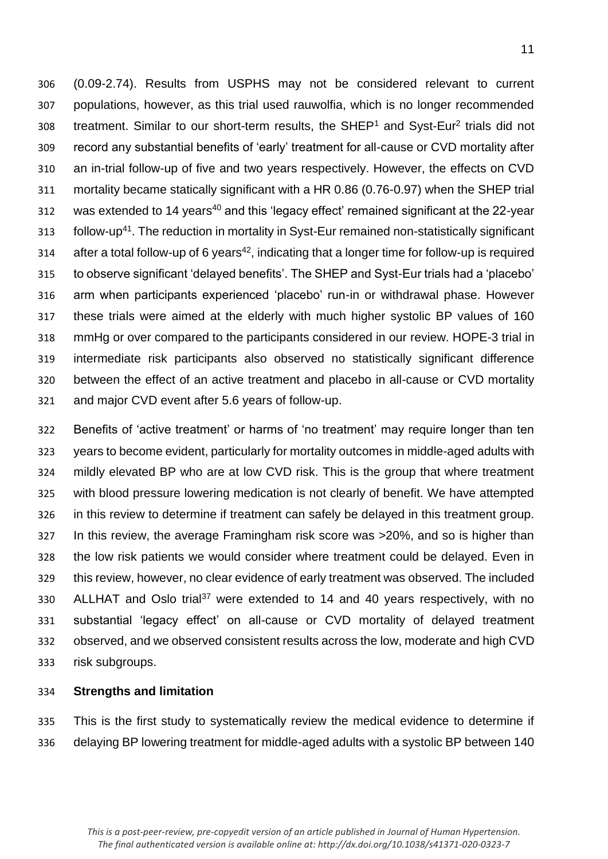(0.09-2.74). Results from USPHS may not be considered relevant to current populations, however, as this trial used rauwolfia, which is no longer recommended 308 treatment. Similar to our short-term results, the SHEP<sup>1</sup> and Syst-Eur<sup>2</sup> trials did not record any substantial benefits of 'early' treatment for all-cause or CVD mortality after an in-trial follow-up of five and two years respectively. However, the effects on CVD mortality became statically significant with a HR 0.86 (0.76-0.97) when the SHEP trial was extended to 14 years<sup>40</sup> and this 'legacy effect' remained significant at the 22-year 313 follow-up<sup>41</sup>. The reduction in mortality in Syst-Eur remained non-statistically significant after a total follow-up of 6 years<sup>42</sup>, indicating that a longer time for follow-up is required to observe significant 'delayed benefits'. The SHEP and Syst-Eur trials had a 'placebo' arm when participants experienced 'placebo' run-in or withdrawal phase. However these trials were aimed at the elderly with much higher systolic BP values of 160 mmHg or over compared to the participants considered in our review. HOPE-3 trial in intermediate risk participants also observed no statistically significant difference between the effect of an active treatment and placebo in all-cause or CVD mortality and major CVD event after 5.6 years of follow-up.

 Benefits of 'active treatment' or harms of 'no treatment' may require longer than ten years to become evident, particularly for mortality outcomes in middle-aged adults with mildly elevated BP who are at low CVD risk. This is the group that where treatment with blood pressure lowering medication is not clearly of benefit. We have attempted in this review to determine if treatment can safely be delayed in this treatment group. In this review, the average Framingham risk score was >20%, and so is higher than the low risk patients we would consider where treatment could be delayed. Even in this review, however, no clear evidence of early treatment was observed. The included 330 ALLHAT and Oslo trial<sup>37</sup> were extended to 14 and 40 years respectively, with no substantial 'legacy effect' on all-cause or CVD mortality of delayed treatment observed, and we observed consistent results across the low, moderate and high CVD risk subgroups.

### **Strengths and limitation**

 This is the first study to systematically review the medical evidence to determine if delaying BP lowering treatment for middle-aged adults with a systolic BP between 140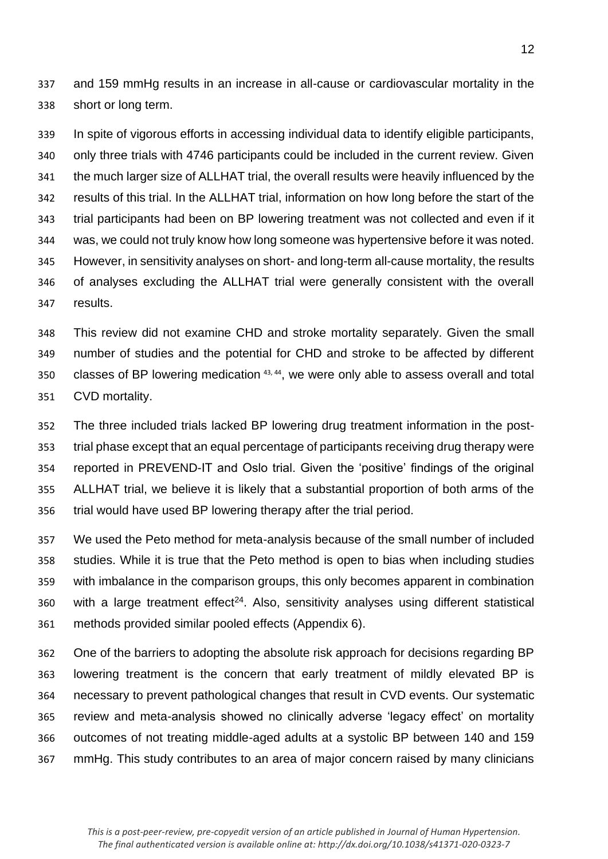and 159 mmHg results in an increase in all-cause or cardiovascular mortality in the short or long term.

 In spite of vigorous efforts in accessing individual data to identify eligible participants, only three trials with 4746 participants could be included in the current review. Given the much larger size of ALLHAT trial, the overall results were heavily influenced by the results of this trial. In the ALLHAT trial, information on how long before the start of the trial participants had been on BP lowering treatment was not collected and even if it was, we could not truly know how long someone was hypertensive before it was noted. However, in sensitivity analyses on short- and long-term all-cause mortality, the results of analyses excluding the ALLHAT trial were generally consistent with the overall results.

 This review did not examine CHD and stroke mortality separately. Given the small number of studies and the potential for CHD and stroke to be affected by different 350 classes of BP lowering medication  $43, 44$ , we were only able to assess overall and total CVD mortality.

 The three included trials lacked BP lowering drug treatment information in the post- trial phase except that an equal percentage of participants receiving drug therapy were reported in PREVEND-IT and Oslo trial. Given the 'positive' findings of the original ALLHAT trial, we believe it is likely that a substantial proportion of both arms of the trial would have used BP lowering therapy after the trial period.

 We used the Peto method for meta-analysis because of the small number of included studies. While it is true that the Peto method is open to bias when including studies with imbalance in the comparison groups, this only becomes apparent in combination with a large treatment effect<sup>24</sup>. Also, sensitivity analyses using different statistical methods provided similar pooled effects (Appendix 6).

 One of the barriers to adopting the absolute risk approach for decisions regarding BP lowering treatment is the concern that early treatment of mildly elevated BP is necessary to prevent pathological changes that result in CVD events. Our systematic review and meta-analysis showed no clinically adverse 'legacy effect' on mortality outcomes of not treating middle-aged adults at a systolic BP between 140 and 159 mmHg. This study contributes to an area of major concern raised by many clinicians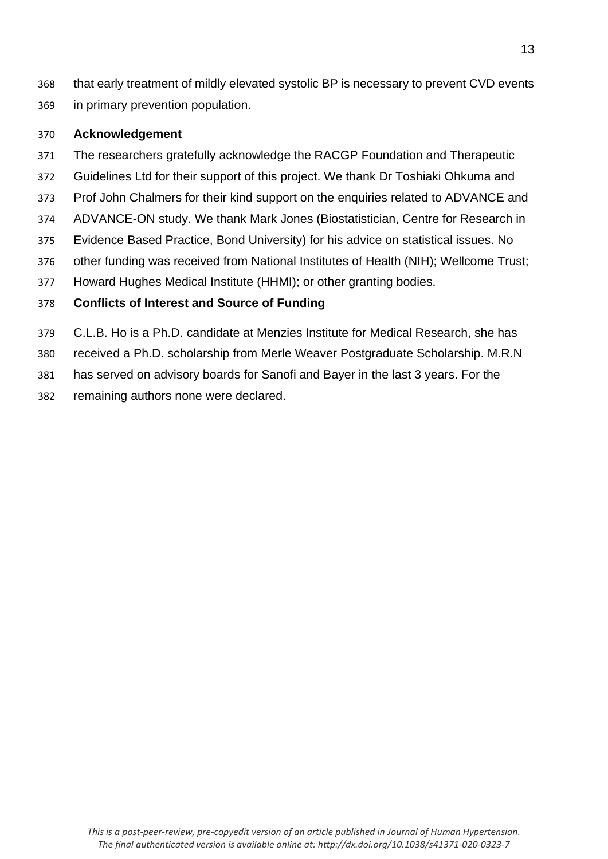that early treatment of mildly elevated systolic BP is necessary to prevent CVD events in primary prevention population.

## **Acknowledgement**

- The researchers gratefully acknowledge the RACGP Foundation and Therapeutic
- Guidelines Ltd for their support of this project. We thank Dr Toshiaki Ohkuma and
- Prof John Chalmers for their kind support on the enquiries related to ADVANCE and
- ADVANCE-ON study. We thank Mark Jones (Biostatistician, Centre for Research in
- Evidence Based Practice, Bond University) for his advice on statistical issues. No
- other funding was received from National Institutes of Health (NIH); Wellcome Trust;
- Howard Hughes Medical Institute (HHMI); or other granting bodies.

# **Conflicts of Interest and Source of Funding**

- C.L.B. Ho is a Ph.D. candidate at Menzies Institute for Medical Research, she has
- received a Ph.D. scholarship from Merle Weaver Postgraduate Scholarship. M.R.N

has served on advisory boards for Sanofi and Bayer in the last 3 years. For the

remaining authors none were declared.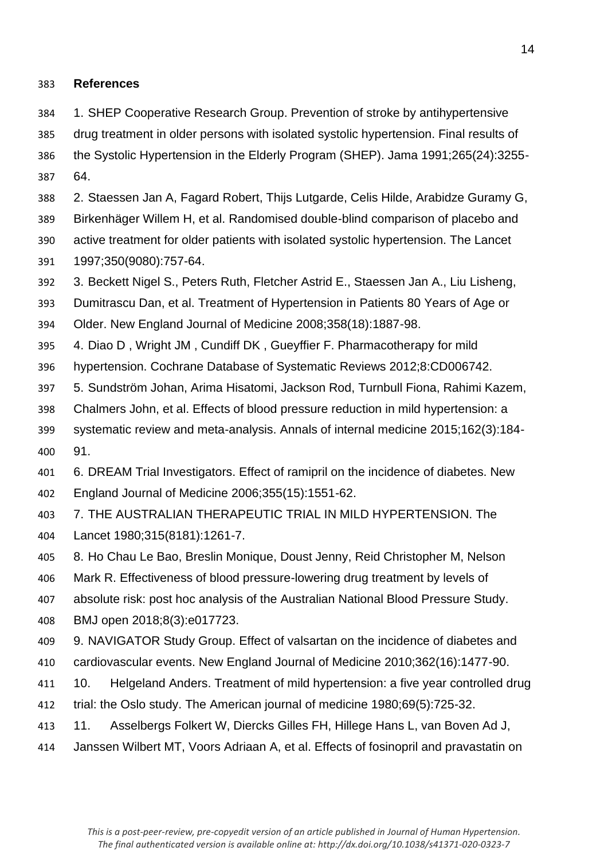### **References**

- 1. SHEP Cooperative Research Group. Prevention of stroke by antihypertensive
- drug treatment in older persons with isolated systolic hypertension. Final results of
- the Systolic Hypertension in the Elderly Program (SHEP). Jama 1991;265(24):3255- 64.
- 2. Staessen Jan A, Fagard Robert, Thijs Lutgarde, Celis Hilde, Arabidze Guramy G,
- Birkenhäger Willem H, et al. Randomised double-blind comparison of placebo and active treatment for older patients with isolated systolic hypertension. The Lancet
- 1997;350(9080):757-64.
- 3. Beckett Nigel S., Peters Ruth, Fletcher Astrid E., Staessen Jan A., Liu Lisheng,
- Dumitrascu Dan, et al. Treatment of Hypertension in Patients 80 Years of Age or
- Older. New England Journal of Medicine 2008;358(18):1887-98.
- 4. Diao D , Wright JM , Cundiff DK , Gueyffier F. Pharmacotherapy for mild
- hypertension. Cochrane Database of Systematic Reviews 2012;8:CD006742.
- 5. Sundström Johan, Arima Hisatomi, Jackson Rod, Turnbull Fiona, Rahimi Kazem,
- Chalmers John, et al. Effects of blood pressure reduction in mild hypertension: a
- systematic review and meta-analysis. Annals of internal medicine 2015;162(3):184- 91.
- 6. DREAM Trial Investigators. Effect of ramipril on the incidence of diabetes. New England Journal of Medicine 2006;355(15):1551-62.
- 7. THE AUSTRALIAN THERAPEUTIC TRIAL IN MILD HYPERTENSION. The Lancet 1980;315(8181):1261-7.
- 8. Ho Chau Le Bao, Breslin Monique, Doust Jenny, Reid Christopher M, Nelson
- Mark R. Effectiveness of blood pressure-lowering drug treatment by levels of
- absolute risk: post hoc analysis of the Australian National Blood Pressure Study.
- BMJ open 2018;8(3):e017723.
- 9. NAVIGATOR Study Group. Effect of valsartan on the incidence of diabetes and cardiovascular events. New England Journal of Medicine 2010;362(16):1477-90.
- 10. Helgeland Anders. Treatment of mild hypertension: a five year controlled drug
- trial: the Oslo study. The American journal of medicine 1980;69(5):725-32.
- 11. Asselbergs Folkert W, Diercks Gilles FH, Hillege Hans L, van Boven Ad J,
- Janssen Wilbert MT, Voors Adriaan A, et al. Effects of fosinopril and pravastatin on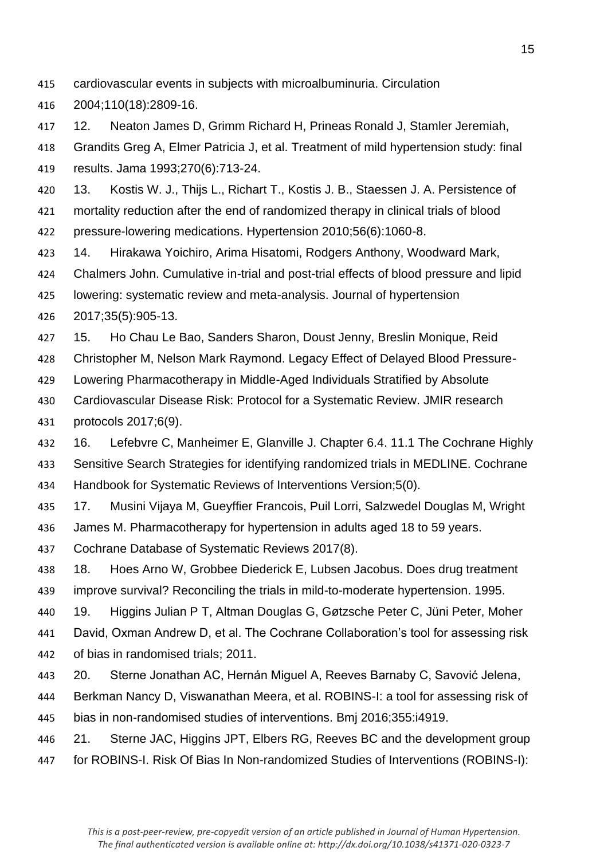- cardiovascular events in subjects with microalbuminuria. Circulation
- 2004;110(18):2809-16.
- 12. Neaton James D, Grimm Richard H, Prineas Ronald J, Stamler Jeremiah,
- Grandits Greg A, Elmer Patricia J, et al. Treatment of mild hypertension study: final results. Jama 1993;270(6):713-24.
- 13. Kostis W. J., Thijs L., Richart T., Kostis J. B., Staessen J. A. Persistence of mortality reduction after the end of randomized therapy in clinical trials of blood pressure-lowering medications. Hypertension 2010;56(6):1060-8.
- 14. Hirakawa Yoichiro, Arima Hisatomi, Rodgers Anthony, Woodward Mark,
- Chalmers John. Cumulative in-trial and post-trial effects of blood pressure and lipid
- lowering: systematic review and meta-analysis. Journal of hypertension
- 2017;35(5):905-13.
- 15. Ho Chau Le Bao, Sanders Sharon, Doust Jenny, Breslin Monique, Reid
- Christopher M, Nelson Mark Raymond. Legacy Effect of Delayed Blood Pressure-
- Lowering Pharmacotherapy in Middle-Aged Individuals Stratified by Absolute
- Cardiovascular Disease Risk: Protocol for a Systematic Review. JMIR research
- protocols 2017;6(9).
- 16. Lefebvre C, Manheimer E, Glanville J. Chapter 6.4. 11.1 The Cochrane Highly Sensitive Search Strategies for identifying randomized trials in MEDLINE. Cochrane Handbook for Systematic Reviews of Interventions Version;5(0).
- 17. Musini Vijaya M, Gueyffier Francois, Puil Lorri, Salzwedel Douglas M, Wright James M. Pharmacotherapy for hypertension in adults aged 18 to 59 years.
- Cochrane Database of Systematic Reviews 2017(8).
- 18. Hoes Arno W, Grobbee Diederick E, Lubsen Jacobus. Does drug treatment improve survival? Reconciling the trials in mild-to-moderate hypertension. 1995.
- 19. Higgins Julian P T, Altman Douglas G, Gøtzsche Peter C, Jüni Peter, Moher
- David, Oxman Andrew D, et al. The Cochrane Collaboration's tool for assessing risk of bias in randomised trials; 2011.
- 20. Sterne Jonathan AC, Hernán Miguel A, Reeves Barnaby C, Savović Jelena,
- Berkman Nancy D, Viswanathan Meera, et al. ROBINS-I: a tool for assessing risk of
- bias in non-randomised studies of interventions. Bmj 2016;355:i4919.
- 21. Sterne JAC, Higgins JPT, Elbers RG, Reeves BC and the development group for ROBINS-I. Risk Of Bias In Non-randomized Studies of Interventions (ROBINS-I):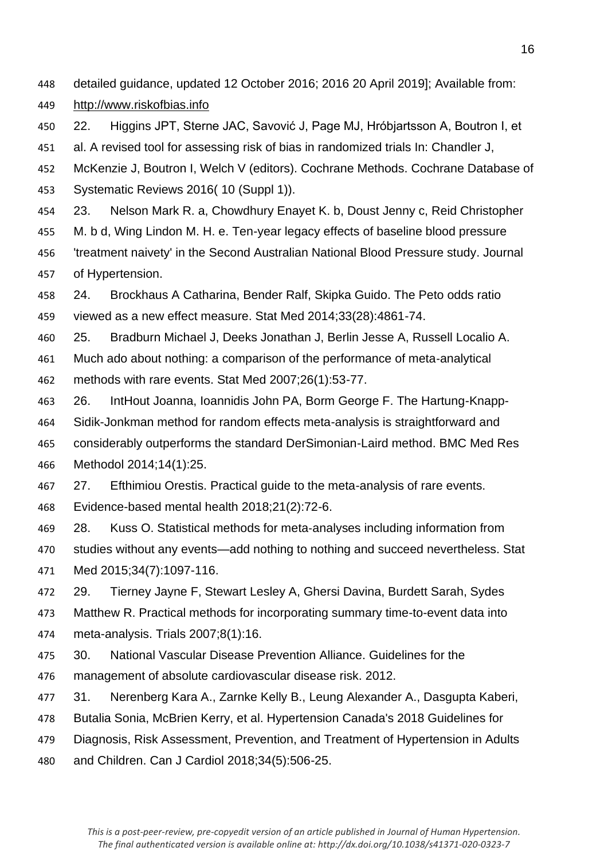- detailed guidance, updated 12 October 2016; 2016 20 April 2019]; Available from:
- http://www.riskofbias.info
- 22. Higgins JPT, Sterne JAC, Savović J, Page MJ, Hróbjartsson A, Boutron I, et
- al. A revised tool for assessing risk of bias in randomized trials In: Chandler J,
- McKenzie J, Boutron I, Welch V (editors). Cochrane Methods. Cochrane Database of Systematic Reviews 2016( 10 (Suppl 1)).
- 23. Nelson Mark R. a, Chowdhury Enayet K. b, Doust Jenny c, Reid Christopher
- M. b d, Wing Lindon M. H. e. Ten-year legacy effects of baseline blood pressure
- 'treatment naivety' in the Second Australian National Blood Pressure study. Journal of Hypertension.
- 24. Brockhaus A Catharina, Bender Ralf, Skipka Guido. The Peto odds ratio viewed as a new effect measure. Stat Med 2014;33(28):4861-74.
- 25. Bradburn Michael J, Deeks Jonathan J, Berlin Jesse A, Russell Localio A. Much ado about nothing: a comparison of the performance of meta‐analytical methods with rare events. Stat Med 2007;26(1):53-77.
- 26. IntHout Joanna, Ioannidis John PA, Borm George F. The Hartung-Knapp-
- Sidik-Jonkman method for random effects meta-analysis is straightforward and considerably outperforms the standard DerSimonian-Laird method. BMC Med Res
- Methodol 2014;14(1):25.
- 27. Efthimiou Orestis. Practical guide to the meta-analysis of rare events.
- Evidence-based mental health 2018;21(2):72-6.
- 28. Kuss O. Statistical methods for meta‐analyses including information from studies without any events—add nothing to nothing and succeed nevertheless. Stat Med 2015;34(7):1097-116.
- 29. Tierney Jayne F, Stewart Lesley A, Ghersi Davina, Burdett Sarah, Sydes Matthew R. Practical methods for incorporating summary time-to-event data into meta-analysis. Trials 2007;8(1):16.
- 30. National Vascular Disease Prevention Alliance. Guidelines for the management of absolute cardiovascular disease risk. 2012.
- 31. Nerenberg Kara A., Zarnke Kelly B., Leung Alexander A., Dasgupta Kaberi,
- Butalia Sonia, McBrien Kerry, et al. Hypertension Canada's 2018 Guidelines for
- Diagnosis, Risk Assessment, Prevention, and Treatment of Hypertension in Adults
- and Children. Can J Cardiol 2018;34(5):506-25.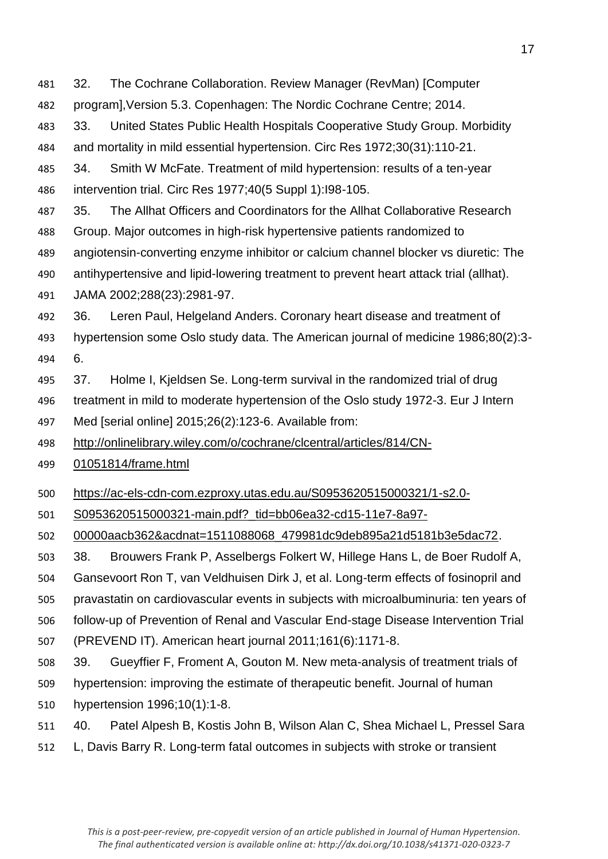32. The Cochrane Collaboration. Review Manager (RevMan) [Computer

- program],Version 5.3. Copenhagen: The Nordic Cochrane Centre; 2014.
- 33. United States Public Health Hospitals Cooperative Study Group. Morbidity and mortality in mild essential hypertension. Circ Res 1972;30(31):110-21.
- 34. Smith W McFate. Treatment of mild hypertension: results of a ten-year intervention trial. Circ Res 1977;40(5 Suppl 1):I98-105.
- 35. The Allhat Officers and Coordinators for the Allhat Collaborative Research
- Group. Major outcomes in high-risk hypertensive patients randomized to
- angiotensin-converting enzyme inhibitor or calcium channel blocker vs diuretic: The
- antihypertensive and lipid-lowering treatment to prevent heart attack trial (allhat). JAMA 2002;288(23):2981-97.
- 36. Leren Paul, Helgeland Anders. Coronary heart disease and treatment of
- hypertension some Oslo study data. The American journal of medicine 1986;80(2):3- 6.
- 37. Holme I, Kjeldsen Se. Long-term survival in the randomized trial of drug
- treatment in mild to moderate hypertension of the Oslo study 1972-3. Eur J Intern
- Med [serial online] 2015;26(2):123-6. Available from:
- http://onlinelibrary.wiley.com/o/cochrane/clcentral/articles/814/CN-
- 01051814/frame.html
- https://ac-els-cdn-com.ezproxy.utas.edu.au/S0953620515000321/1-s2.0-
- S0953620515000321-main.pdf?\_tid=bb06ea32-cd15-11e7-8a97-
- 00000aacb362&acdnat=1511088068\_479981dc9deb895a21d5181b3e5dac72.
- 38. Brouwers Frank P, Asselbergs Folkert W, Hillege Hans L, de Boer Rudolf A,
- Gansevoort Ron T, van Veldhuisen Dirk J, et al. Long-term effects of fosinopril and
- pravastatin on cardiovascular events in subjects with microalbuminuria: ten years of
- follow-up of Prevention of Renal and Vascular End-stage Disease Intervention Trial
- (PREVEND IT). American heart journal 2011;161(6):1171-8.
- 39. Gueyffier F, Froment A, Gouton M. New meta-analysis of treatment trials of
- hypertension: improving the estimate of therapeutic benefit. Journal of human
- hypertension 1996;10(1):1-8.
- 40. Patel Alpesh B, Kostis John B, Wilson Alan C, Shea Michael L, Pressel Sara
- L, Davis Barry R. Long-term fatal outcomes in subjects with stroke or transient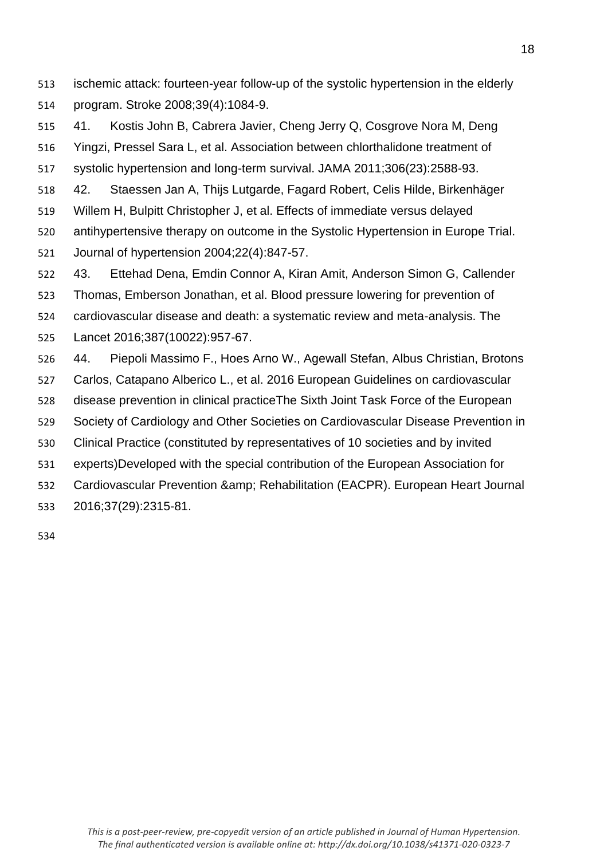ischemic attack: fourteen-year follow-up of the systolic hypertension in the elderly program. Stroke 2008;39(4):1084-9.

 41. Kostis John B, Cabrera Javier, Cheng Jerry Q, Cosgrove Nora M, Deng Yingzi, Pressel Sara L, et al. Association between chlorthalidone treatment of systolic hypertension and long-term survival. JAMA 2011;306(23):2588-93. 42. Staessen Jan A, Thijs Lutgarde, Fagard Robert, Celis Hilde, Birkenhäger

Willem H, Bulpitt Christopher J, et al. Effects of immediate versus delayed

 antihypertensive therapy on outcome in the Systolic Hypertension in Europe Trial. Journal of hypertension 2004;22(4):847-57.

 43. Ettehad Dena, Emdin Connor A, Kiran Amit, Anderson Simon G, Callender Thomas, Emberson Jonathan, et al. Blood pressure lowering for prevention of cardiovascular disease and death: a systematic review and meta-analysis. The

Lancet 2016;387(10022):957-67.

44. Piepoli Massimo F., Hoes Arno W., Agewall Stefan, Albus Christian, Brotons

Carlos, Catapano Alberico L., et al. 2016 European Guidelines on cardiovascular

disease prevention in clinical practiceThe Sixth Joint Task Force of the European

Society of Cardiology and Other Societies on Cardiovascular Disease Prevention in

Clinical Practice (constituted by representatives of 10 societies and by invited

experts)Developed with the special contribution of the European Association for

532 Cardiovascular Prevention & amp; Rehabilitation (EACPR). European Heart Journal

2016;37(29):2315-81.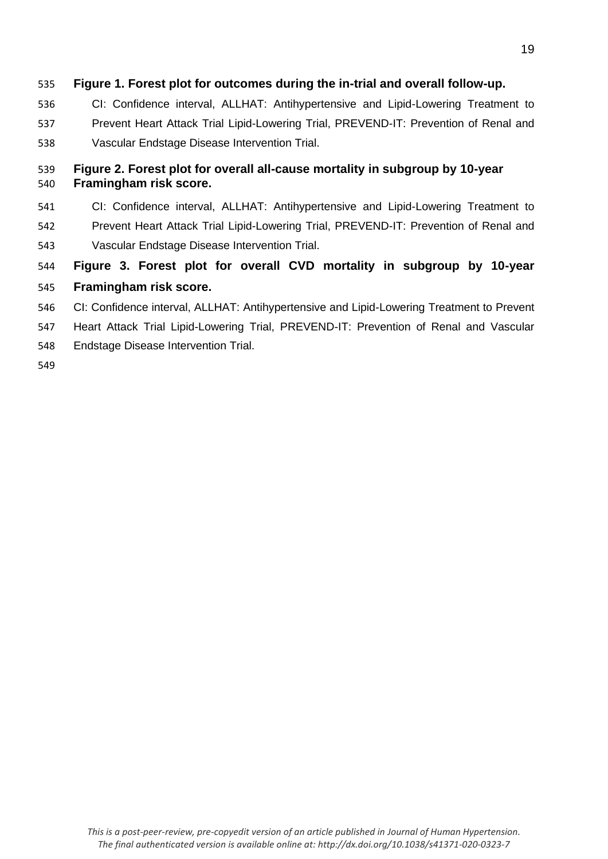## **Figure 1. Forest plot for outcomes during the in-trial and overall follow-up.**

- CI: Confidence interval, ALLHAT: Antihypertensive and Lipid-Lowering Treatment to
- Prevent Heart Attack Trial Lipid-Lowering Trial, PREVEND-IT: Prevention of Renal and Vascular Endstage Disease Intervention Trial.

## **Figure 2. Forest plot for overall all-cause mortality in subgroup by 10-year Framingham risk score.**

- CI: Confidence interval, ALLHAT: Antihypertensive and Lipid-Lowering Treatment to
- Prevent Heart Attack Trial Lipid-Lowering Trial, PREVEND-IT: Prevention of Renal and Vascular Endstage Disease Intervention Trial.
- **Figure 3. Forest plot for overall CVD mortality in subgroup by 10-year**

# **Framingham risk score.**

- CI: Confidence interval, ALLHAT: Antihypertensive and Lipid-Lowering Treatment to Prevent
- Heart Attack Trial Lipid-Lowering Trial, PREVEND-IT: Prevention of Renal and Vascular
- Endstage Disease Intervention Trial.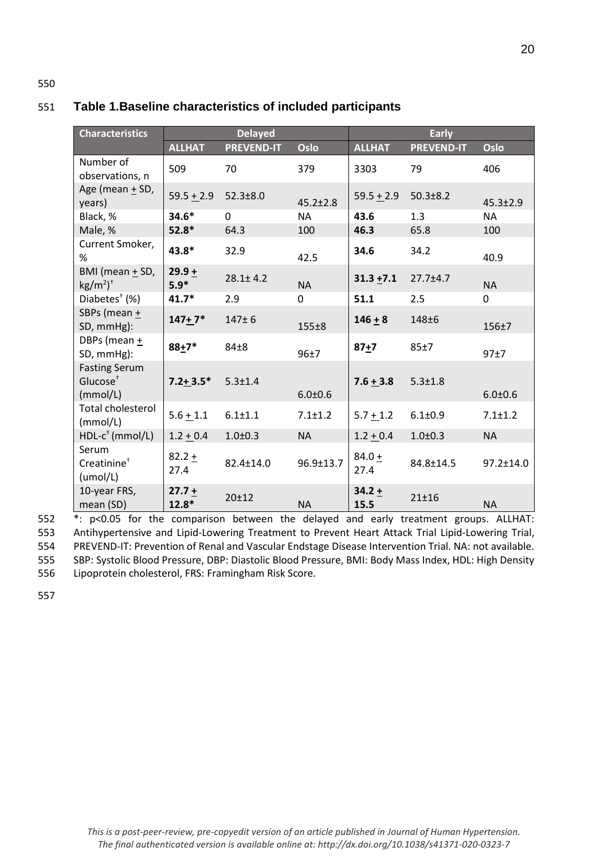| <b>Characteristics</b>                                   | <b>Delayed</b>      |                   |                 | <b>Early</b>     |                   |                 |  |
|----------------------------------------------------------|---------------------|-------------------|-----------------|------------------|-------------------|-----------------|--|
|                                                          | <b>ALLHAT</b>       | <b>PREVEND-IT</b> | Oslo            | <b>ALLHAT</b>    | <b>PREVEND-IT</b> | Oslo            |  |
| Number of<br>observations, n                             | 509                 | 70                | 379             | 3303             | 79                | 406             |  |
| Age (mean + SD,<br>years)                                | $59.5 + 2.9$        | $52.3 \pm 8.0$    | $45.2 \pm 2.8$  | $59.5 + 2.9$     | $50.3 \pm 8.2$    | $45.3 \pm 2.9$  |  |
| Black, %                                                 | $34.6*$             | 0                 | <b>NA</b>       | 43.6             | 1.3               | <b>NA</b>       |  |
| Male, %                                                  | $52.8*$             | 64.3              | 100             | 46.3             | 65.8              | 100             |  |
| Current Smoker,<br>%                                     | 43.8*               | 32.9              | 42.5            | 34.6             | 34.2              | 40.9            |  |
| BMI (mean + SD,<br>$\text{kg/m}^2$ <sup>+</sup>          | $29.9 +$<br>$5.9*$  | $28.1 \pm 4.2$    | <b>NA</b>       | $31.3 + 7.1$     | $27.7 \pm 4.7$    | <b>NA</b>       |  |
| Diabetes <sup>+</sup> (%)                                | 41.7*               | 2.9               | 0               | 51.1             | 2.5               | 0               |  |
| SBPs (mean +<br>SD, mmHg):                               | $147+7*$            | $147 + 6$         | $155 + 8$       | $146 + 8$        | $148 + 6$         | $156 + 7$       |  |
| DBPs (mean +<br>SD, mmHg):                               | $88 + 7*$           | $84\pm8$          | 96±7            | $87 + 7$         | 85±7              | 97±7            |  |
| <b>Fasting Serum</b><br>Glucose <sup>+</sup><br>(mmol/L) | $7.2 + 3.5*$        | $5.3 \pm 1.4$     | $6.0 + 0.6$     | $7.6 + 3.8$      | $5.3 \pm 1.8$     | $6.0 + 0.6$     |  |
| <b>Total cholesterol</b><br>(mmol/L)                     | $5.6 + 1.1$         | $6.1 + 1.1$       | $7.1 \pm 1.2$   | $5.7 + 1.2$      | $6.1 \pm 0.9$     | $7.1 \pm 1.2$   |  |
| $HDL-c^+$ (mmol/L)                                       | $1.2 + 0.4$         | $1.0 + 0.3$       | <b>NA</b>       | $1.2 + 0.4$      | $1.0 + 0.3$       | <b>NA</b>       |  |
| Serum<br>Creatinine <sup>+</sup><br>(umol/L)             | $82.2 +$<br>27.4    | 82.4±14.0         | $96.9 \pm 13.7$ | $84.0 +$<br>27.4 | 84.8±14.5         | $97.2 \pm 14.0$ |  |
| 10-year FRS,<br>mean (SD)                                | $27.7 +$<br>$12.8*$ | $20 + 12$         | <b>NA</b>       | $34.2 +$<br>15.5 | $21 + 16$         | <b>NA</b>       |  |

## 551 **Table 1.Baseline characteristics of included participants**

 \*: p<0.05 for the comparison between the delayed and early treatment groups. ALLHAT: Antihypertensive and Lipid-Lowering Treatment to Prevent Heart Attack Trial Lipid-Lowering Trial, PREVEND-IT: Prevention of Renal and Vascular Endstage Disease Intervention Trial. NA: not available. SBP: Systolic Blood Pressure, DBP: Diastolic Blood Pressure, BMI: Body Mass Index, HDL: High Density Lipoprotein cholesterol, FRS: Framingham Risk Score.

557